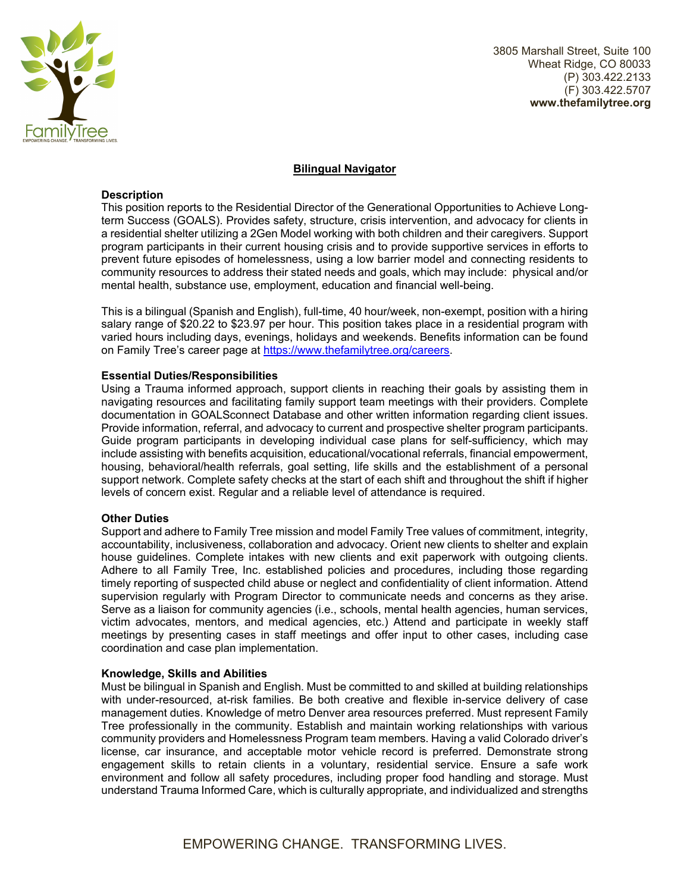

3805 Marshall Street, Suite 100 Wheat Ridge, CO 80033 (P) 303.422.2133 (F) 303.422.5707 **www.thefamilytree.org** 

# **Bilingual Navigator**

### **Description**

This position reports to the Residential Director of the Generational Opportunities to Achieve Longterm Success (GOALS). Provides safety, structure, crisis intervention, and advocacy for clients in a residential shelter utilizing a 2Gen Model working with both children and their caregivers. Support program participants in their current housing crisis and to provide supportive services in efforts to prevent future episodes of homelessness, using a low barrier model and connecting residents to community resources to address their stated needs and goals, which may include: physical and/or mental health, substance use, employment, education and financial well-being.

This is a bilingual (Spanish and English), full-time, 40 hour/week, non-exempt, position with a hiring salary range of \$20.22 to \$23.97 per hour. This position takes place in a residential program with varied hours including days, evenings, holidays and weekends. Benefits information can be found on Family Tree's career page at https://www.thefamilytree.org/careers.

# **Essential Duties/Responsibilities**

Using a Trauma informed approach, support clients in reaching their goals by assisting them in navigating resources and facilitating family support team meetings with their providers. Complete documentation in GOALSconnect Database and other written information regarding client issues. Provide information, referral, and advocacy to current and prospective shelter program participants. Guide program participants in developing individual case plans for self-sufficiency, which may include assisting with benefits acquisition, educational/vocational referrals, financial empowerment, housing, behavioral/health referrals, goal setting, life skills and the establishment of a personal support network. Complete safety checks at the start of each shift and throughout the shift if higher levels of concern exist. Regular and a reliable level of attendance is required.

# **Other Duties**

Support and adhere to Family Tree mission and model Family Tree values of commitment, integrity, accountability, inclusiveness, collaboration and advocacy. Orient new clients to shelter and explain house guidelines. Complete intakes with new clients and exit paperwork with outgoing clients. Adhere to all Family Tree, Inc. established policies and procedures, including those regarding timely reporting of suspected child abuse or neglect and confidentiality of client information. Attend supervision regularly with Program Director to communicate needs and concerns as they arise. Serve as a liaison for community agencies (i.e., schools, mental health agencies, human services, victim advocates, mentors, and medical agencies, etc.) Attend and participate in weekly staff meetings by presenting cases in staff meetings and offer input to other cases, including case coordination and case plan implementation.

#### **Knowledge, Skills and Abilities**

Must be bilingual in Spanish and English. Must be committed to and skilled at building relationships with under-resourced, at-risk families. Be both creative and flexible in-service delivery of case management duties. Knowledge of metro Denver area resources preferred. Must represent Family Tree professionally in the community. Establish and maintain working relationships with various community providers and Homelessness Program team members. Having a valid Colorado driver's license, car insurance, and acceptable motor vehicle record is preferred. Demonstrate strong engagement skills to retain clients in a voluntary, residential service. Ensure a safe work environment and follow all safety procedures, including proper food handling and storage. Must understand Trauma Informed Care, which is culturally appropriate, and individualized and strengths